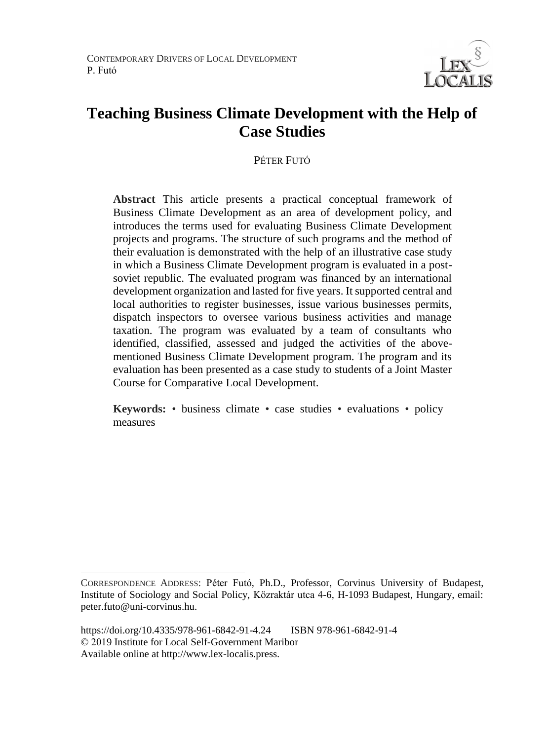CONTEMPORARY DRIVERS OF LOCAL DEVELOPMENT P. Futó



# **Teaching Business Climate Development with the Help of Case Studies**

PÉTER FUTÓ

**Abstract** This article presents a practical conceptual framework of Business Climate Development as an area of development policy, and introduces the terms used for evaluating Business Climate Development projects and programs. The structure of such programs and the method of their evaluation is demonstrated with the help of an illustrative case study in which a Business Climate Development program is evaluated in a postsoviet republic. The evaluated program was financed by an international development organization and lasted for five years. It supported central and local authorities to register businesses, issue various businesses permits, dispatch inspectors to oversee various business activities and manage taxation. The program was evaluated by a team of consultants who identified, classified, assessed and judged the activities of the abovementioned Business Climate Development program. The program and its evaluation has been presented as a case study to students of a Joint Master Course for Comparative Local Development.

**Keywords:** • business climate • case studies • evaluations • policy measures

 $\overline{a}$ 

CORRESPONDENCE ADDRESS: Péter Futó, Ph.D., Professor, Corvinus University of Budapest, Institute of Sociology and Social Policy, Közraktár utca 4-6, H-1093 Budapest, Hungary, email: peter.futo@uni-corvinus.hu.

https://doi.org/10.4335/978-961-6842-91-4.24 ISBN 978-961-6842-91-4 © 2019 Institute for Local Self-Government Maribor Available online at http://www.lex-localis.press.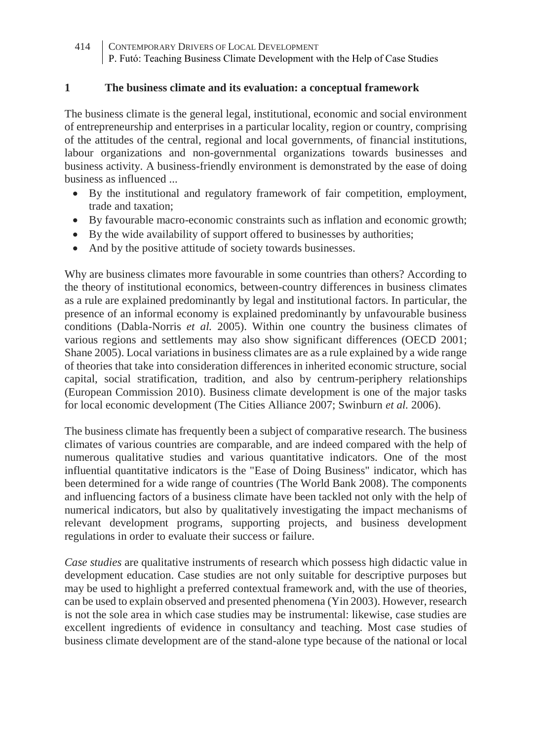#### **1 The business climate and its evaluation: a conceptual framework**

The business climate is the general legal, institutional, economic and social environment of entrepreneurship and enterprises in a particular locality, region or country, comprising of the attitudes of the central, regional and local governments, of financial institutions, labour organizations and non-governmental organizations towards businesses and business activity. A business-friendly environment is demonstrated by the ease of doing business as influenced ...

- By the institutional and regulatory framework of fair competition, employment, trade and taxation;
- By favourable macro-economic constraints such as inflation and economic growth;
- By the wide availability of support offered to businesses by authorities;
- And by the positive attitude of society towards businesses.

Why are business climates more favourable in some countries than others? According to the theory of institutional economics, between-country differences in business climates as a rule are explained predominantly by legal and institutional factors. In particular, the presence of an informal economy is explained predominantly by unfavourable business conditions (Dabla-Norris *et al.* 2005). Within one country the business climates of various regions and settlements may also show significant differences (OECD 2001; Shane 2005). Local variations in business climates are as a rule explained by a wide range of theories that take into consideration differences in inherited economic structure, social capital, social stratification, tradition, and also by centrum-periphery relationships (European Commission 2010). Business climate development is one of the major tasks for local economic development (The Cities Alliance 2007; Swinburn *et al.* 2006).

The business climate has frequently been a subject of comparative research. The business climates of various countries are comparable, and are indeed compared with the help of numerous qualitative studies and various quantitative indicators. One of the most influential quantitative indicators is the "Ease of Doing Business" indicator, which has been determined for a wide range of countries (The World Bank 2008). The components and influencing factors of a business climate have been tackled not only with the help of numerical indicators, but also by qualitatively investigating the impact mechanisms of relevant development programs, supporting projects, and business development regulations in order to evaluate their success or failure.

*Case studies* are qualitative instruments of research which possess high didactic value in development education. Case studies are not only suitable for descriptive purposes but may be used to highlight a preferred contextual framework and, with the use of theories, can be used to explain observed and presented phenomena (Yin 2003). However, research is not the sole area in which case studies may be instrumental: likewise, case studies are excellent ingredients of evidence in consultancy and teaching. Most case studies of business climate development are of the stand-alone type because of the national or local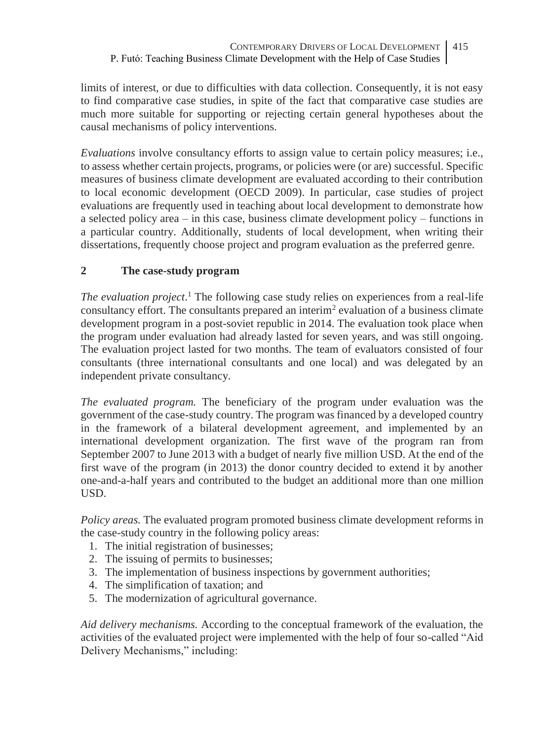limits of interest, or due to difficulties with data collection. Consequently, it is not easy to find comparative case studies, in spite of the fact that comparative case studies are much more suitable for supporting or rejecting certain general hypotheses about the causal mechanisms of policy interventions.

*Evaluations* involve consultancy efforts to assign value to certain policy measures; i.e., to assess whether certain projects, programs, or policies were (or are) successful. Specific measures of business climate development are evaluated according to their contribution to local economic development (OECD 2009). In particular, case studies of project evaluations are frequently used in teaching about local development to demonstrate how a selected policy area – in this case, business climate development policy – functions in a particular country. Additionally, students of local development, when writing their dissertations, frequently choose project and program evaluation as the preferred genre.

# **2 The case-study program**

*The evaluation project*. <sup>1</sup> The following case study relies on experiences from a real-life consultancy effort. The consultants prepared an interim<sup>2</sup> evaluation of a business climate development program in a post-soviet republic in 2014. The evaluation took place when the program under evaluation had already lasted for seven years, and was still ongoing. The evaluation project lasted for two months. The team of evaluators consisted of four consultants (three international consultants and one local) and was delegated by an independent private consultancy.

*The evaluated program.* The beneficiary of the program under evaluation was the government of the case-study country. The program was financed by a developed country in the framework of a bilateral development agreement, and implemented by an international development organization. The first wave of the program ran from September 2007 to June 2013 with a budget of nearly five million USD. At the end of the first wave of the program (in 2013) the donor country decided to extend it by another one-and-a-half years and contributed to the budget an additional more than one million USD.

*Policy areas.* The evaluated program promoted business climate development reforms in the case-study country in the following policy areas:

- 1. The initial registration of businesses;
- 2. The issuing of permits to businesses;
- 3. The implementation of business inspections by government authorities;
- 4. The simplification of taxation; and
- 5. The modernization of agricultural governance.

*Aid delivery mechanisms.* According to the conceptual framework of the evaluation, the activities of the evaluated project were implemented with the help of four so-called "Aid Delivery Mechanisms," including: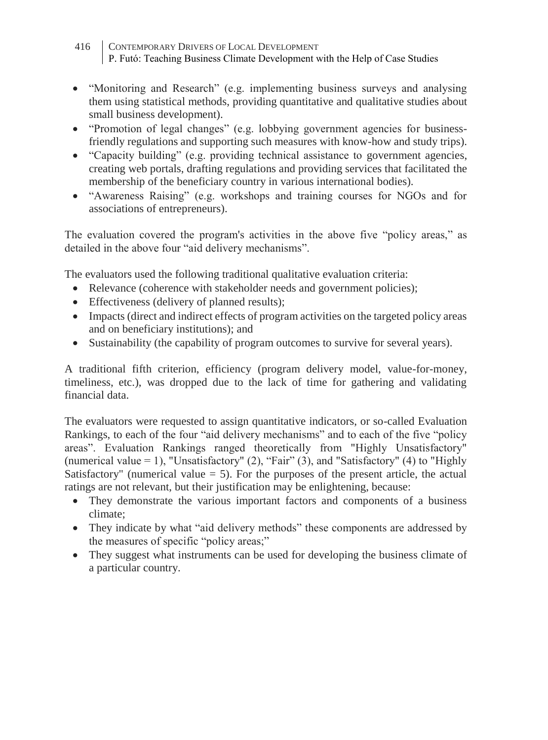- 416 CONTEMPORARY DRIVERS OF LOCAL DEVELOPMENT P. Futó: Teaching Business Climate Development with the Help of Case Studies
- "Monitoring and Research" (e.g. implementing business surveys and analysing them using statistical methods, providing quantitative and qualitative studies about small business development).
- "Promotion of legal changes" (e.g. lobbying government agencies for businessfriendly regulations and supporting such measures with know-how and study trips).
- "Capacity building" (e.g. providing technical assistance to government agencies, creating web portals, drafting regulations and providing services that facilitated the membership of the beneficiary country in various international bodies).
- "Awareness Raising" (e.g. workshops and training courses for NGOs and for associations of entrepreneurs).

The evaluation covered the program's activities in the above five "policy areas," as detailed in the above four "aid delivery mechanisms".

The evaluators used the following traditional qualitative evaluation criteria:

- Relevance (coherence with stakeholder needs and government policies);
- Effectiveness (delivery of planned results):
- Impacts (direct and indirect effects of program activities on the targeted policy areas and on beneficiary institutions); and
- Sustainability (the capability of program outcomes to survive for several years).

A traditional fifth criterion, efficiency (program delivery model, value-for-money, timeliness, etc.), was dropped due to the lack of time for gathering and validating financial data.

The evaluators were requested to assign quantitative indicators, or so-called Evaluation Rankings, to each of the four "aid delivery mechanisms" and to each of the five "policy areas". Evaluation Rankings ranged theoretically from "Highly Unsatisfactory" (numerical value = 1), "Unsatisfactory" (2), "Fair" (3), and "Satisfactory" (4) to "Highly Satisfactory" (numerical value  $= 5$ ). For the purposes of the present article, the actual ratings are not relevant, but their justification may be enlightening, because:

- They demonstrate the various important factors and components of a business climate;
- They indicate by what "aid delivery methods" these components are addressed by the measures of specific "policy areas;"
- They suggest what instruments can be used for developing the business climate of a particular country.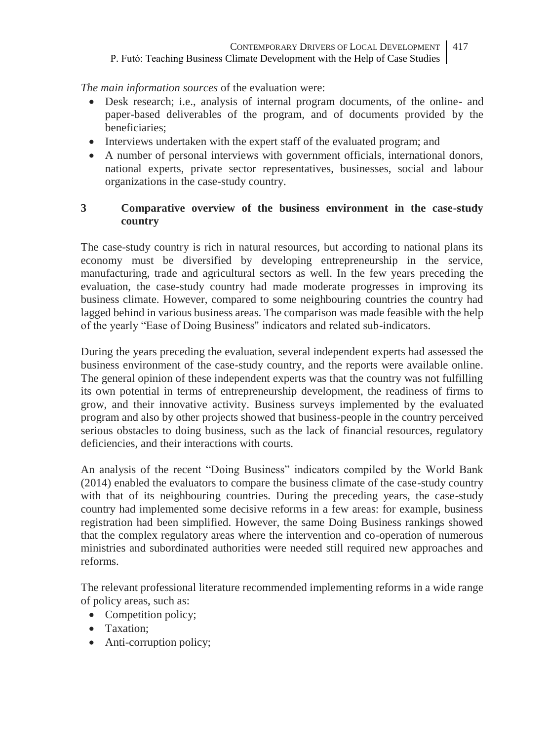*The main information sources* of the evaluation were:

- Desk research; i.e., analysis of internal program documents, of the online- and paper-based deliverables of the program, and of documents provided by the beneficiaries;
- Interviews undertaken with the expert staff of the evaluated program; and
- A number of personal interviews with government officials, international donors, national experts, private sector representatives, businesses, social and labour organizations in the case-study country.

## **3 Comparative overview of the business environment in the case-study country**

The case-study country is rich in natural resources, but according to national plans its economy must be diversified by developing entrepreneurship in the service, manufacturing, trade and agricultural sectors as well. In the few years preceding the evaluation, the case-study country had made moderate progresses in improving its business climate. However, compared to some neighbouring countries the country had lagged behind in various business areas. The comparison was made feasible with the help of the yearly "Ease of Doing Business" indicators and related sub-indicators.

During the years preceding the evaluation, several independent experts had assessed the business environment of the case-study country, and the reports were available online. The general opinion of these independent experts was that the country was not fulfilling its own potential in terms of entrepreneurship development, the readiness of firms to grow, and their innovative activity. Business surveys implemented by the evaluated program and also by other projects showed that business-people in the country perceived serious obstacles to doing business, such as the lack of financial resources, regulatory deficiencies, and their interactions with courts.

An analysis of the recent "Doing Business" indicators compiled by the World Bank (2014) enabled the evaluators to compare the business climate of the case-study country with that of its neighbouring countries. During the preceding years, the case-study country had implemented some decisive reforms in a few areas: for example, business registration had been simplified. However, the same Doing Business rankings showed that the complex regulatory areas where the intervention and co-operation of numerous ministries and subordinated authorities were needed still required new approaches and reforms.

The relevant professional literature recommended implementing reforms in a wide range of policy areas, such as:

- Competition policy;
- Taxation;
- Anti-corruption policy;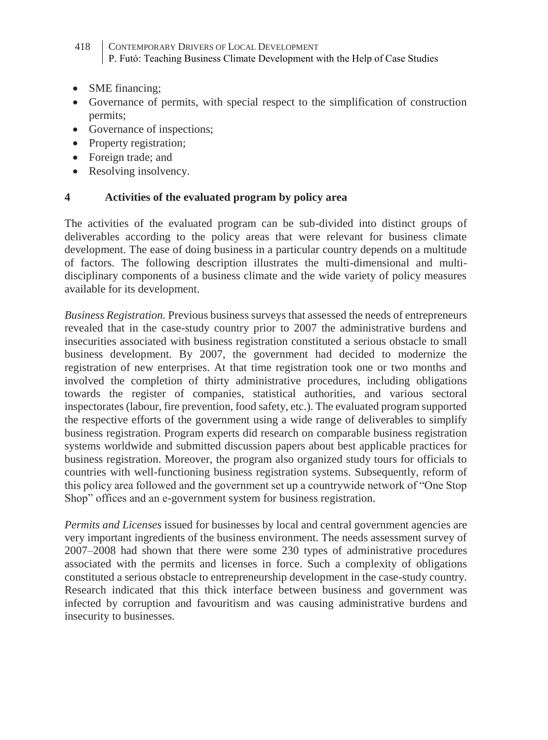- 418 CONTEMPORARY DRIVERS OF LOCAL DEVELOPMENT P. Futó: Teaching Business Climate Development with the Help of Case Studies
- SME financing:
- Governance of permits, with special respect to the simplification of construction permits;
- Governance of inspections;
- Property registration;
- Foreign trade; and
- Resolving insolvency.

### **4 Activities of the evaluated program by policy area**

The activities of the evaluated program can be sub-divided into distinct groups of deliverables according to the policy areas that were relevant for business climate development. The ease of doing business in a particular country depends on a multitude of factors. The following description illustrates the multi-dimensional and multidisciplinary components of a business climate and the wide variety of policy measures available for its development.

*Business Registration.* Previous business surveys that assessed the needs of entrepreneurs revealed that in the case-study country prior to 2007 the administrative burdens and insecurities associated with business registration constituted a serious obstacle to small business development. By 2007, the government had decided to modernize the registration of new enterprises. At that time registration took one or two months and involved the completion of thirty administrative procedures, including obligations towards the register of companies, statistical authorities, and various sectoral inspectorates (labour, fire prevention, food safety, etc.). The evaluated program supported the respective efforts of the government using a wide range of deliverables to simplify business registration. Program experts did research on comparable business registration systems worldwide and submitted discussion papers about best applicable practices for business registration. Moreover, the program also organized study tours for officials to countries with well-functioning business registration systems. Subsequently, reform of this policy area followed and the government set up a countrywide network of "One Stop Shop" offices and an e-government system for business registration.

*Permits and Licenses* issued for businesses by local and central government agencies are very important ingredients of the business environment. The needs assessment survey of 2007–2008 had shown that there were some 230 types of administrative procedures associated with the permits and licenses in force. Such a complexity of obligations constituted a serious obstacle to entrepreneurship development in the case-study country. Research indicated that this thick interface between business and government was infected by corruption and favouritism and was causing administrative burdens and insecurity to businesses.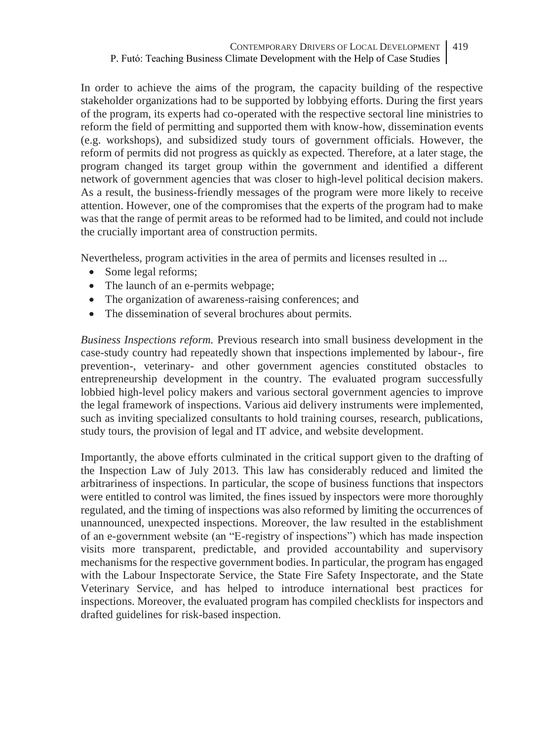In order to achieve the aims of the program, the capacity building of the respective stakeholder organizations had to be supported by lobbying efforts. During the first years of the program, its experts had co-operated with the respective sectoral line ministries to reform the field of permitting and supported them with know-how, dissemination events (e.g. workshops), and subsidized study tours of government officials. However, the reform of permits did not progress as quickly as expected. Therefore, at a later stage, the program changed its target group within the government and identified a different network of government agencies that was closer to high-level political decision makers. As a result, the business-friendly messages of the program were more likely to receive attention. However, one of the compromises that the experts of the program had to make was that the range of permit areas to be reformed had to be limited, and could not include the crucially important area of construction permits.

Nevertheless, program activities in the area of permits and licenses resulted in ...

- Some legal reforms;
- The launch of an e-permits webpage;
- The organization of awareness-raising conferences; and
- The dissemination of several brochures about permits.

*Business Inspections reform.* Previous research into small business development in the case-study country had repeatedly shown that inspections implemented by labour-, fire prevention-, veterinary- and other government agencies constituted obstacles to entrepreneurship development in the country. The evaluated program successfully lobbied high-level policy makers and various sectoral government agencies to improve the legal framework of inspections. Various aid delivery instruments were implemented, such as inviting specialized consultants to hold training courses, research, publications, study tours, the provision of legal and IT advice, and website development.

Importantly, the above efforts culminated in the critical support given to the drafting of the Inspection Law of July 2013. This law has considerably reduced and limited the arbitrariness of inspections. In particular, the scope of business functions that inspectors were entitled to control was limited, the fines issued by inspectors were more thoroughly regulated, and the timing of inspections was also reformed by limiting the occurrences of unannounced, unexpected inspections. Moreover, the law resulted in the establishment of an e-government website (an "E-registry of inspections") which has made inspection visits more transparent, predictable, and provided accountability and supervisory mechanisms for the respective government bodies. In particular, the program has engaged with the Labour Inspectorate Service, the State Fire Safety Inspectorate, and the State Veterinary Service, and has helped to introduce international best practices for inspections. Moreover, the evaluated program has compiled checklists for inspectors and drafted guidelines for risk-based inspection.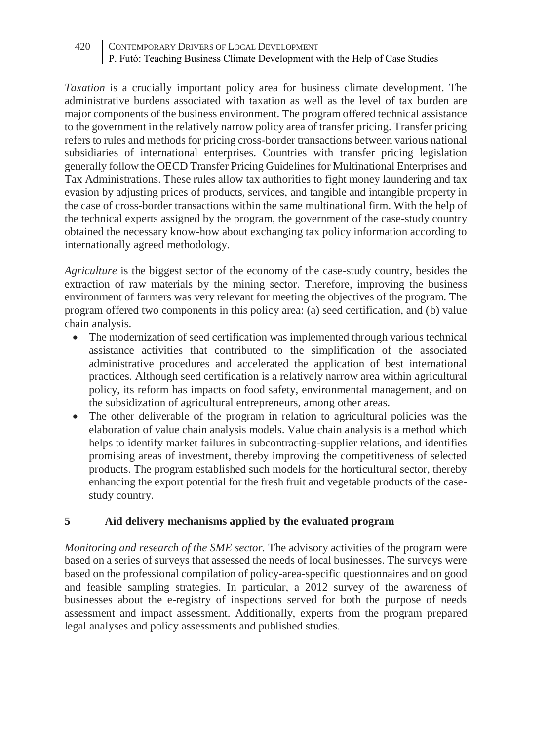*Taxation* is a crucially important policy area for business climate development. The administrative burdens associated with taxation as well as the level of tax burden are major components of the business environment. The program offered technical assistance to the government in the relatively narrow policy area of transfer pricing. Transfer pricing refers to rules and methods for pricing cross-border transactions between various national subsidiaries of international enterprises. Countries with transfer pricing legislation generally follow the OECD Transfer Pricing Guidelines for Multinational Enterprises and Tax Administrations. These rules allow tax authorities to fight money laundering and tax evasion by adjusting prices of products, services, and tangible and intangible property in the case of cross-border transactions within the same multinational firm. With the help of the technical experts assigned by the program, the government of the case-study country obtained the necessary know-how about exchanging tax policy information according to internationally agreed methodology.

*Agriculture* is the biggest sector of the economy of the case-study country, besides the extraction of raw materials by the mining sector. Therefore, improving the business environment of farmers was very relevant for meeting the objectives of the program. The program offered two components in this policy area: (a) seed certification, and (b) value chain analysis.

- The modernization of seed certification was implemented through various technical assistance activities that contributed to the simplification of the associated administrative procedures and accelerated the application of best international practices. Although seed certification is a relatively narrow area within agricultural policy, its reform has impacts on food safety, environmental management, and on the subsidization of agricultural entrepreneurs, among other areas.
- The other deliverable of the program in relation to agricultural policies was the elaboration of value chain analysis models. Value chain analysis is a method which helps to identify market failures in subcontracting-supplier relations, and identifies promising areas of investment, thereby improving the competitiveness of selected products. The program established such models for the horticultural sector, thereby enhancing the export potential for the fresh fruit and vegetable products of the casestudy country.

### **5 Aid delivery mechanisms applied by the evaluated program**

*Monitoring and research of the SME sector.* The advisory activities of the program were based on a series of surveys that assessed the needs of local businesses. The surveys were based on the professional compilation of policy-area-specific questionnaires and on good and feasible sampling strategies. In particular, a 2012 survey of the awareness of businesses about the e-registry of inspections served for both the purpose of needs assessment and impact assessment. Additionally, experts from the program prepared legal analyses and policy assessments and published studies.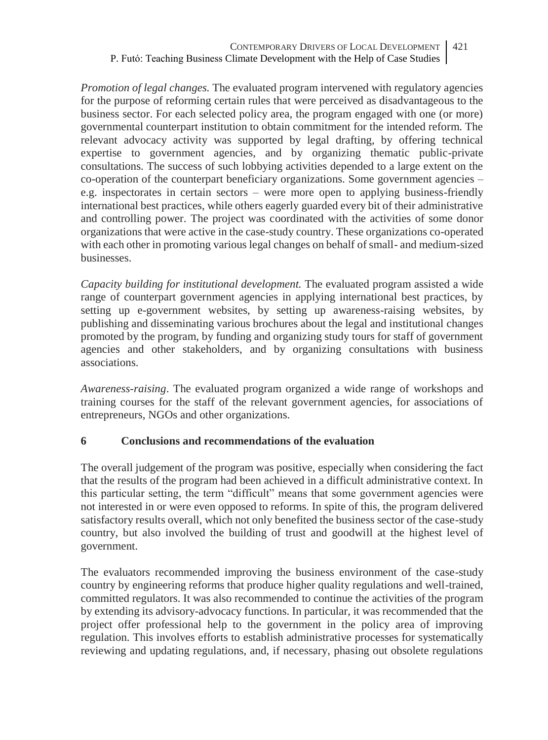*Promotion of legal changes.* The evaluated program intervened with regulatory agencies for the purpose of reforming certain rules that were perceived as disadvantageous to the business sector. For each selected policy area, the program engaged with one (or more) governmental counterpart institution to obtain commitment for the intended reform. The relevant advocacy activity was supported by legal drafting, by offering technical expertise to government agencies, and by organizing thematic public-private consultations. The success of such lobbying activities depended to a large extent on the co-operation of the counterpart beneficiary organizations. Some government agencies – e.g. inspectorates in certain sectors – were more open to applying business-friendly international best practices, while others eagerly guarded every bit of their administrative and controlling power. The project was coordinated with the activities of some donor organizations that were active in the case-study country. These organizations co-operated with each other in promoting various legal changes on behalf of small- and medium-sized businesses.

*Capacity building for institutional development.* The evaluated program assisted a wide range of counterpart government agencies in applying international best practices, by setting up e-government websites, by setting up awareness-raising websites, by publishing and disseminating various brochures about the legal and institutional changes promoted by the program, by funding and organizing study tours for staff of government agencies and other stakeholders, and by organizing consultations with business associations.

*Awareness-raising*. The evaluated program organized a wide range of workshops and training courses for the staff of the relevant government agencies, for associations of entrepreneurs, NGOs and other organizations.

### **6 Conclusions and recommendations of the evaluation**

The overall judgement of the program was positive, especially when considering the fact that the results of the program had been achieved in a difficult administrative context. In this particular setting, the term "difficult" means that some government agencies were not interested in or were even opposed to reforms. In spite of this, the program delivered satisfactory results overall, which not only benefited the business sector of the case-study country, but also involved the building of trust and goodwill at the highest level of government.

The evaluators recommended improving the business environment of the case-study country by engineering reforms that produce higher quality regulations and well-trained, committed regulators. It was also recommended to continue the activities of the program by extending its advisory-advocacy functions. In particular, it was recommended that the project offer professional help to the government in the policy area of improving regulation. This involves efforts to establish administrative processes for systematically reviewing and updating regulations, and, if necessary, phasing out obsolete regulations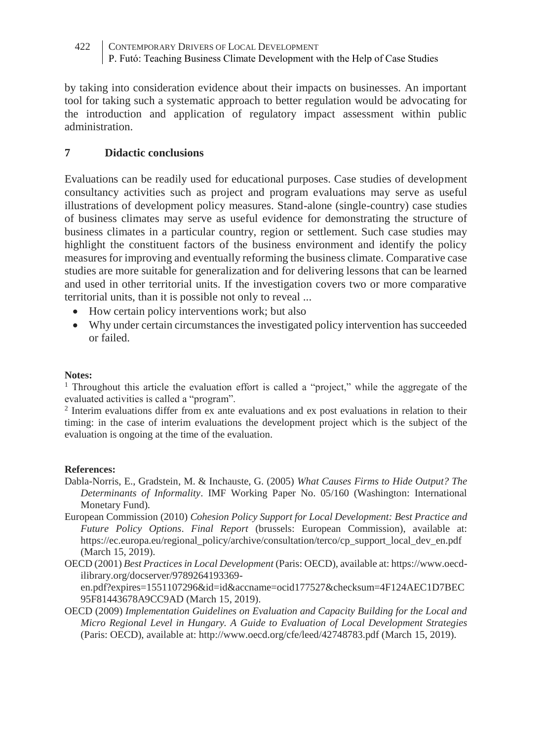by taking into consideration evidence about their impacts on businesses. An important tool for taking such a systematic approach to better regulation would be advocating for the introduction and application of regulatory impact assessment within public administration.

#### **7 Didactic conclusions**

Evaluations can be readily used for educational purposes. Case studies of development consultancy activities such as project and program evaluations may serve as useful illustrations of development policy measures. Stand-alone (single-country) case studies of business climates may serve as useful evidence for demonstrating the structure of business climates in a particular country, region or settlement. Such case studies may highlight the constituent factors of the business environment and identify the policy measures for improving and eventually reforming the business climate. Comparative case studies are more suitable for generalization and for delivering lessons that can be learned and used in other territorial units. If the investigation covers two or more comparative territorial units, than it is possible not only to reveal ...

- How certain policy interventions work; but also
- Why under certain circumstances the investigated policy intervention has succeeded or failed.

#### **Notes:**

<sup>1</sup> Throughout this article the evaluation effort is called a "project," while the aggregate of the evaluated activities is called a "program".

2 Interim evaluations differ from ex ante evaluations and ex post evaluations in relation to their timing: in the case of interim evaluations the development project which is the subject of the evaluation is ongoing at the time of the evaluation.

#### **References:**

- Dabla-Norris, E., Gradstein, M. & Inchauste, G. (2005) *What Causes Firms to Hide Output? The Determinants of Informality*. IMF Working Paper No. 05/160 (Washington: International Monetary Fund).
- European Commission (2010) *Cohesion Policy Support for Local Development: Best Practice and Future Policy Options*. *Final Report* (brussels: European Commission), available at: https://ec.europa.eu/regional\_policy/archive/consultation/terco/cp\_support\_local\_dev\_en.pdf (March 15, 2019).
- OECD (2001) *Best Practices in Local Development* (Paris: OECD), available at: https://www.oecdilibrary.org/docserver/9789264193369-

en.pdf?expires=1551107296&id=id&accname=ocid177527&checksum=4F124AEC1D7BEC 95F81443678A9CC9AD (March 15, 2019).

OECD (2009) *Implementation Guidelines on Evaluation and Capacity Building for the Local and Micro Regional Level in Hungary. A Guide to Evaluation of Local Development Strategies* (Paris: OECD), available at: http://www.oecd.org/cfe/leed/42748783.pdf (March 15, 2019).